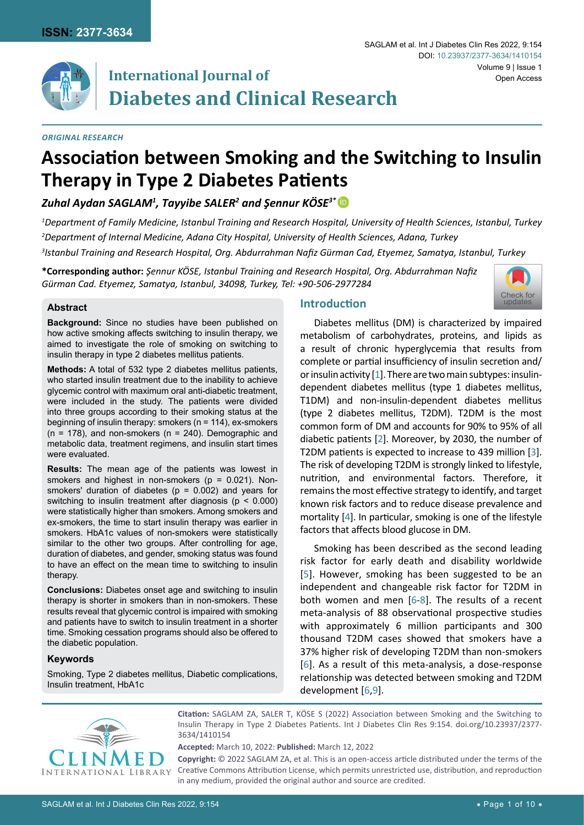

# **International Journal of Diabetes and Clinical Research**

#### *Original Research*

SAGLAM et al. Int J Diabetes Clin Res 2022, 9:154

DOI: [10.23937/2377-3634/1410154](https://doi.org/10.23937/2377-3634/1410154)

# **Association between Smoking and the Switching to Insulin Therapy in Type 2 Diabetes Patients**

*Zuhal Aydan SAGLAM1 , Tayyibe SALER2 and Şennur KÖSE3\** [iD](https://orcid.org/0000-0002-1920-5159)

*1 Department of Family Medicine, Istanbul Training and Research Hospital, University of Health Sciences, Istanbul, Turkey 2 Department of Internal Medicine, Adana City Hospital, University of Health Sciences, Adana, Turkey*

*3 Istanbul Training and Research Hospital, Org. Abdurrahman Nafiz Gürman Cad, Etyemez, Samatya, Istanbul, Turkey*

**\*Corresponding author:** *Şennur KÖSE, Istanbul Training and Research Hospital, Org. Abdurrahman Nafiz Gürman Cad. Etyemez, Samatya, Istanbul, 34098, Turkey, Tel: +90-506-2977284*

### **Abstract**

**Background:** Since no studies have been published on how active smoking affects switching to insulin therapy, we aimed to investigate the role of smoking on switching to insulin therapy in type 2 diabetes mellitus patients.

**Methods:** A total of 532 type 2 diabetes mellitus patients, who started insulin treatment due to the inability to achieve glycemic control with maximum oral anti-diabetic treatment, were included in the study. The patients were divided into three groups according to their smoking status at the beginning of insulin therapy: smokers (n = 114), ex-smokers  $(n = 178)$ , and non-smokers  $(n = 240)$ . Demographic and metabolic data, treatment regimens, and insulin start times were evaluated.

**Results:** The mean age of the patients was lowest in smokers and highest in non-smokers ( $p = 0.021$ ). Nonsmokers' duration of diabetes ( $p = 0.002$ ) and years for switching to insulin treatment after diagnosis (p < 0.000) were statistically higher than smokers. Among smokers and ex-smokers, the time to start insulin therapy was earlier in smokers. HbA1c values of non-smokers were statistically similar to the other two groups. After controlling for age, duration of diabetes, and gender, smoking status was found to have an effect on the mean time to switching to insulin therapy.

**Conclusions:** Diabetes onset age and switching to insulin therapy is shorter in smokers than in non-smokers. These results reveal that glycemic control is impaired with smoking and patients have to switch to insulin treatment in a shorter time. Smoking cessation programs should also be offered to the diabetic population.

## **Keywords**

Smoking, Type 2 diabetes mellitus, Diabetic complications, Insulin treatment, HbA1c

# **Introduction**



Volume 9 | Issue 1

Open Access

Diabetes mellitus (DM) is characterized by impaired metabolism of carbohydrates, proteins, and lipids as a result of chronic hyperglycemia that results from complete or partial insufficiency of insulin secretion and/ or insulin activity [\[1\]](#page-7-0). There are two main subtypes: insulindependent diabetes mellitus (type 1 diabetes mellitus, T1DM) and non-insulin-dependent diabetes mellitus (type 2 diabetes mellitus, T2DM). T2DM is the most common form of DM and accounts for 90% to 95% of all diabetic patients [[2](#page-7-1)]. Moreover, by 2030, the number of T2DM patients is expected to increase to 439 million [\[3\]](#page-7-2). The risk of developing T2DM is strongly linked to lifestyle, nutrition, and environmental factors. Therefore, it remains the most effective strategy to identify, and target known risk factors and to reduce disease prevalence and mortality [[4](#page-7-3)]. In particular, smoking is one of the lifestyle factors that affects blood glucose in DM.

Smoking has been described as the second leading risk factor for early death and disability worldwide [[5](#page-7-4)]. However, smoking has been suggested to be an independent and changeable risk factor for T2DM in both women and men [\[6-](#page-7-5)[8](#page-8-0)]. The results of a recent meta-analysis of 88 observational prospective studies with approximately 6 million participants and 300 thousand T2DM cases showed that smokers have a 37% higher risk of developing T2DM than non-smokers [[6](#page-7-5)]. As a result of this meta-analysis, a dose-response relationship was detected between smoking and T2DM development [[6](#page-7-5),[9](#page-8-1)].



**Citation:** SAGLAM ZA, SALER T, KÖSE S (2022) Association between Smoking and the Switching to Insulin Therapy in Type 2 Diabetes Patients. Int J Diabetes Clin Res 9:154. [doi.org/10.23937/2377-](https://doi.org/10.23937/2377-3634/1410154) [3634/1410154](https://doi.org/10.23937/2377-3634/1410154)

**Accepted:** March 10, 2022: **Published:** March 12, 2022

**Copyright:** © 2022 SAGLAM ZA, et al. This is an open-access article distributed under the terms of the Creative Commons Attribution License, which permits unrestricted use, distribution, and reproduction in any medium, provided the original author and source are credited.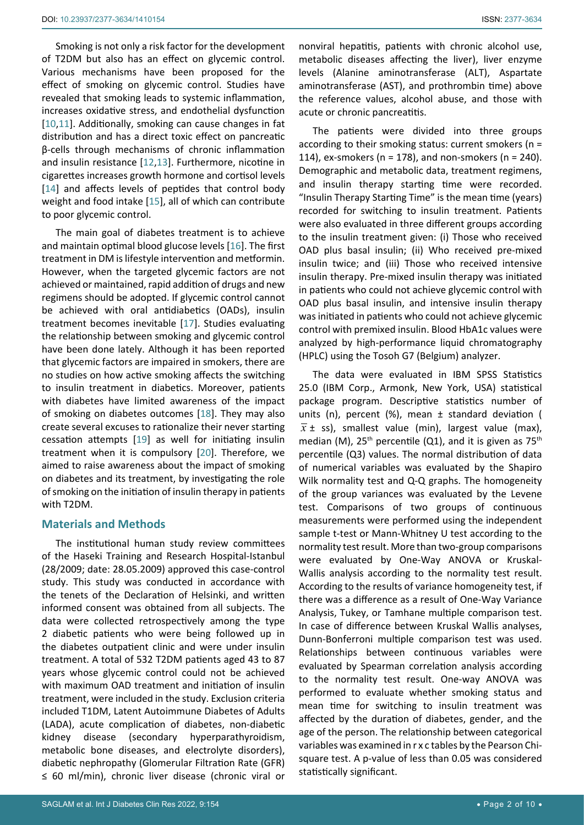Smoking is not only a risk factor for the development of T2DM but also has an effect on glycemic control. Various mechanisms have been proposed for the effect of smoking on glycemic control. Studies have revealed that smoking leads to systemic inflammation, increases oxidative stress, and endothelial dysfunction [[10](#page-8-2),[11\]](#page-8-3). Additionally, smoking can cause changes in fat distribution and has a direct toxic effect on pancreatic β-cells through mechanisms of chronic inflammation and insulin resistance [\[12](#page-8-4),[13](#page-8-5)]. Furthermore, nicotine in cigarettes increases growth hormone and cortisol levels [[14](#page-8-6)] and affects levels of peptides that control body weight and food intake [[15](#page-8-7)], all of which can contribute to poor glycemic control.

The main goal of diabetes treatment is to achieve and maintain optimal blood glucose levels [[16\]](#page-8-8). The first treatment in DM is lifestyle intervention and metformin. However, when the targeted glycemic factors are not achieved or maintained, rapid addition of drugs and new regimens should be adopted. If glycemic control cannot be achieved with oral antidiabetics (OADs), insulin treatment becomes inevitable [[17](#page-8-9)]. Studies evaluating the relationship between smoking and glycemic control have been done lately. Although it has been reported that glycemic factors are impaired in smokers, there are no studies on how active smoking affects the switching to insulin treatment in diabetics. Moreover, patients with diabetes have limited awareness of the impact of smoking on diabetes outcomes [\[18](#page-8-10)]. They may also create several excuses to rationalize their never starting cessation attempts [[19](#page-8-11)] as well for initiating insulin treatment when it is compulsory [[20](#page-8-12)]. Therefore, we aimed to raise awareness about the impact of smoking on diabetes and its treatment, by investigating the role of smoking on the initiation of insulin therapy in patients with T2DM.

# **Materials and Methods**

The institutional human study review committees of the Haseki Training and Research Hospital-Istanbul (28/2009; date: 28.05.2009) approved this case-control study. This study was conducted in accordance with the tenets of the Declaration of Helsinki, and written informed consent was obtained from all subjects. The data were collected retrospectively among the type 2 diabetic patients who were being followed up in the diabetes outpatient clinic and were under insulin treatment. A total of 532 T2DM patients aged 43 to 87 years whose glycemic control could not be achieved with maximum OAD treatment and initiation of insulin treatment, were included in the study. Exclusion criteria included T1DM, Latent Autoimmune Diabetes of Adults (LADA), acute complication of diabetes, non-diabetic kidney disease (secondary hyperparathyroidism, metabolic bone diseases, and electrolyte disorders), diabetic nephropathy [\(Glomerular Filtration Rate \(GFR\)](https://www.healthline.com/health/diabetes/glomerular-filtration-rate#:~:text=A GFR lower than 60,get older%2C GFR naturally decreases.)  ≤ 60 ml/min), chronic liver disease (chronic viral or

nonviral hepatitis, patients with chronic alcohol use, metabolic diseases affecting the liver), liver enzyme levels (Alanine aminotransferase (ALT), Aspartate aminotransferase (AST), and prothrombin time) above the reference values, alcohol abuse, and those with acute or chronic pancreatitis.

The patients were divided into three groups according to their smoking status: current smokers (n = 114), ex-smokers ( $n = 178$ ), and non-smokers ( $n = 240$ ). Demographic and metabolic data, treatment regimens, and insulin therapy starting time were recorded. "Insulin Therapy Starting Time" is the mean time (years) recorded for switching to insulin treatment. Patients were also evaluated in three different groups according to the insulin treatment given: (i) Those who received OAD plus basal insulin; (ii) Who received pre-mixed insulin twice; and (iii) Those who received intensive insulin therapy. Pre-mixed insulin therapy was initiated in patients who could not achieve glycemic control with OAD plus basal insulin, and intensive insulin therapy was initiated in patients who could not achieve glycemic control with premixed insulin. Blood HbA1c values were analyzed by high-performance liquid chromatography (HPLC) using the Tosoh G7 (Belgium) analyzer.

The data were evaluated in IBM SPSS Statistics 25.0 (IBM Corp., Armonk, New York, USA) statistical package program. Descriptive statistics number of units (n), percent (%), mean ± standard deviation (  $\bar{x}$  ± ss), smallest value (min), largest value (max), median (M),  $25<sup>th</sup>$  percentile (Q1), and it is given as  $75<sup>th</sup>$ percentile (Q3) values. The normal distribution of data of numerical variables was evaluated by the Shapiro Wilk normality test and Q-Q graphs. The homogeneity of the group variances was evaluated by the Levene test. Comparisons of two groups of continuous measurements were performed using the independent sample t-test or Mann-Whitney U test according to the normality test result. More than two-group comparisons were evaluated by One-Way ANOVA or Kruskal-Wallis analysis according to the normality test result. According to the results of variance homogeneity test, if there was a difference as a result of One-Way Variance Analysis, Tukey, or Tamhane multiple comparison test. In case of difference between Kruskal Wallis analyses, Dunn-Bonferroni multiple comparison test was used. Relationships between continuous variables were evaluated by Spearman correlation analysis according to the normality test result. One-way ANOVA was performed to evaluate whether smoking status and mean time for switching to insulin treatment was affected by the duration of diabetes, gender, and the age of the person. The relationship between categorical variables was examined in r x c tables by the Pearson Chisquare test. A p-value of less than 0.05 was considered statistically significant.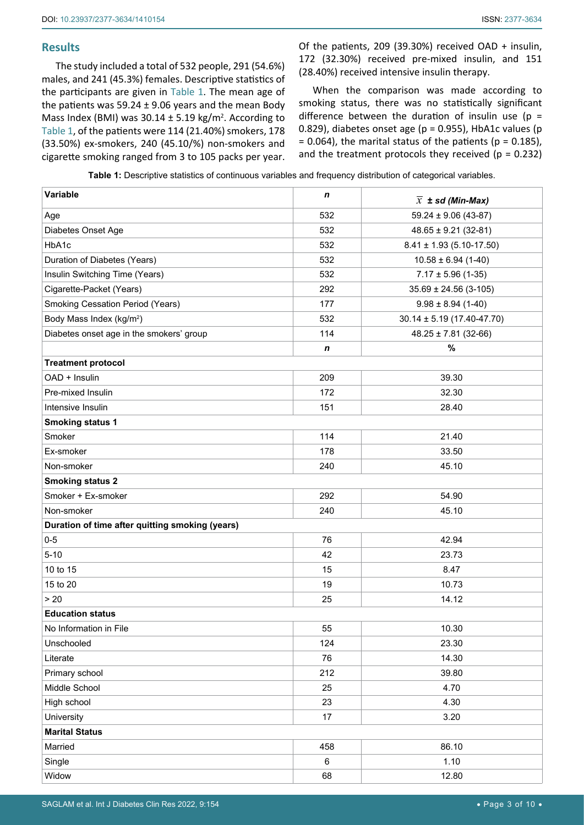# **Results**

The study included a total of 532 people, 291 (54.6%) males, and 241 (45.3%) females. Descriptive statistics of the participants are given in [Table 1](#page-2-0). The mean age of the patients was 59.24  $\pm$  9.06 years and the mean Body Mass Index (BMI) was  $30.14 \pm 5.19$  kg/m<sup>2</sup>. According to [Table 1,](#page-2-0) of the patients were 114 (21.40%) smokers, 178 (33.50%) ex-smokers, 240 (45.10/%) non-smokers and cigarette smoking ranged from 3 to 105 packs per year.

Of the patients, 209 (39.30%) received OAD + insulin, 172 (32.30%) received pre-mixed insulin, and 151 (28.40%) received intensive insulin therapy.

When the comparison was made according to smoking status, there was no statistically significant difference between the duration of insulin use ( $p =$ 0.829), diabetes onset age ( $p = 0.955$ ), HbA1c values ( $p = 0.955$ )  $= 0.064$ ), the marital status of the patients (p = 0.185), and the treatment protocols they received ( $p = 0.232$ )

<span id="page-2-0"></span>

| Table 1: Descriptive statistics of continuous variables and frequency distribution of categorical variables. |  |
|--------------------------------------------------------------------------------------------------------------|--|
|--------------------------------------------------------------------------------------------------------------|--|

| Variable                                        | n           | $\overline{x}$ ± sd (Min-Max)    |
|-------------------------------------------------|-------------|----------------------------------|
| Age                                             | 532         | $59.24 \pm 9.06$ (43-87)         |
| Diabetes Onset Age                              | 532         | $48.65 \pm 9.21$ (32-81)         |
| HbA1c                                           | 532         | $8.41 \pm 1.93$ (5.10-17.50)     |
| Duration of Diabetes (Years)                    | 532         | $10.58 \pm 6.94$ (1-40)          |
| Insulin Switching Time (Years)                  | 532         | $7.17 \pm 5.96$ (1-35)           |
| Cigarette-Packet (Years)                        | 292         | $35.69 \pm 24.56$ (3-105)        |
| <b>Smoking Cessation Period (Years)</b>         | 177         | $9.98 \pm 8.94$ (1-40)           |
| Body Mass Index (kg/m <sup>2</sup> )            | 532         | $30.14 \pm 5.19 (17.40 - 47.70)$ |
| Diabetes onset age in the smokers' group        | 114         | $48.25 \pm 7.81$ (32-66)         |
|                                                 | $\mathbf n$ | $\%$                             |
| <b>Treatment protocol</b>                       |             |                                  |
| OAD + Insulin                                   | 209         | 39.30                            |
| Pre-mixed Insulin                               | 172         | 32.30                            |
| Intensive Insulin                               | 151         | 28.40                            |
| <b>Smoking status 1</b>                         |             |                                  |
| Smoker                                          | 114         | 21.40                            |
| Ex-smoker                                       | 178         | 33.50                            |
| Non-smoker                                      | 240         | 45.10                            |
| <b>Smoking status 2</b>                         |             |                                  |
| Smoker + Ex-smoker                              | 292         | 54.90                            |
| Non-smoker                                      | 240         | 45.10                            |
| Duration of time after quitting smoking (years) |             |                                  |
| $0-5$                                           | 76          | 42.94                            |
| $5 - 10$                                        | 42          | 23.73                            |
| 10 to 15                                        | 15          | 8.47                             |
| 15 to 20                                        | 19          | 10.73                            |
| > 20                                            | 25          | 14.12                            |
| <b>Education status</b>                         |             |                                  |
| No Information in File                          | 55          | 10.30                            |
| Unschooled                                      | 124         | 23.30                            |
| Literate                                        | 76          | 14.30                            |
| Primary school                                  | 212         | 39.80                            |
| Middle School                                   | 25          | 4.70                             |
| High school                                     | 23          | 4.30                             |
| University                                      | 17          | 3.20                             |
| <b>Marital Status</b>                           |             |                                  |
| Married                                         | 458         | 86.10                            |
| Single                                          | 6           | 1.10                             |
| Widow                                           | 68          | 12.80                            |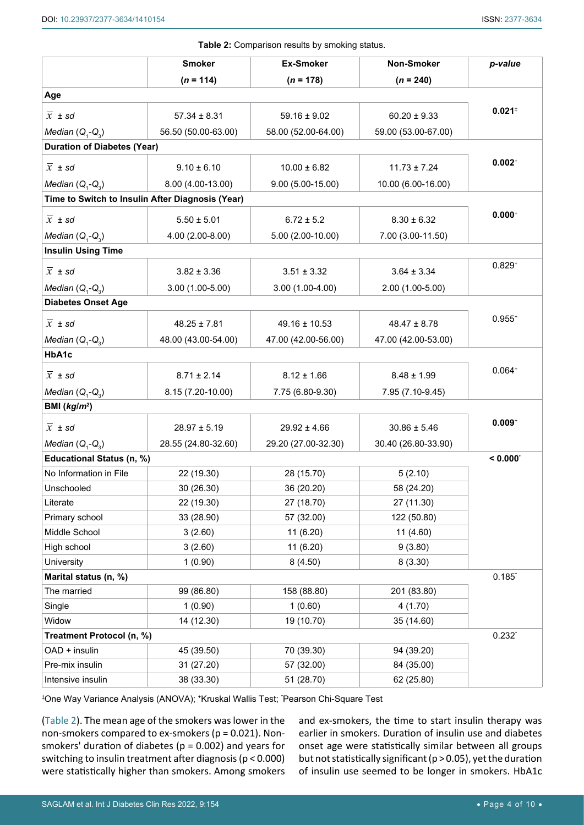<span id="page-3-0"></span>**Table 2:** Comparison results by smoking status.

| <b>TUDIO 4:</b> COMPUTISON TOSURS BY SHIDRING SRUGS. |                                                  |                     |                     |                      |
|------------------------------------------------------|--------------------------------------------------|---------------------|---------------------|----------------------|
|                                                      | <b>Smoker</b>                                    | <b>Ex-Smoker</b>    | Non-Smoker          | p-value              |
|                                                      | $(n = 114)$                                      | $(n = 178)$         | $(n = 240)$         |                      |
| Age                                                  |                                                  |                     |                     |                      |
| $\overline{x}$ ± sd                                  | $57.34 \pm 8.31$                                 | $59.16 \pm 9.02$    | $60.20 \pm 9.33$    | $0.021$ <sup>‡</sup> |
| Median $(Q_1 - Q_3)$                                 | 56.50 (50.00-63.00)                              | 58.00 (52.00-64.00) | 59.00 (53.00-67.00) |                      |
| <b>Duration of Diabetes (Year)</b>                   |                                                  |                     |                     |                      |
| $\overline{x}$ ± sd                                  | $9.10 \pm 6.10$                                  | $10.00 \pm 6.82$    | $11.73 \pm 7.24$    | $0.002+$             |
| Median $(Q, -Q)$                                     | 8.00 (4.00-13.00)                                | $9.00(5.00-15.00)$  | 10.00 (6.00-16.00)  |                      |
|                                                      | Time to Switch to Insulin After Diagnosis (Year) |                     |                     |                      |
|                                                      |                                                  |                     |                     | $0.000+$             |
| $\overline{x}$ ± sd                                  | $5.50 \pm 5.01$                                  | $6.72 \pm 5.2$      | $8.30 \pm 6.32$     |                      |
| Median $(Q, -Q)$                                     | 4.00 (2.00-8.00)                                 | $5.00(2.00-10.00)$  | 7.00 (3.00-11.50)   |                      |
| <b>Insulin Using Time</b>                            |                                                  |                     |                     |                      |
| $\overline{x} \pm sd$                                | $3.82 \pm 3.36$                                  | $3.51 \pm 3.32$     | $3.64 \pm 3.34$     | $0.829^{+}$          |
| Median $(Q_1-Q_3)$                                   | $3.00(1.00-5.00)$                                | $3.00(1.00-4.00)$   | 2.00 (1.00-5.00)    |                      |
| <b>Diabetes Onset Age</b>                            |                                                  |                     |                     |                      |
| $\overline{x}$ ± sd                                  | $48.25 \pm 7.81$                                 | $49.16 \pm 10.53$   | $48.47 \pm 8.78$    | $0.955^{+}$          |
| Median $(Q_1-Q_2)$                                   | 48.00 (43.00-54.00)                              | 47.00 (42.00-56.00) | 47.00 (42.00-53.00) |                      |
| HbA1c                                                |                                                  |                     |                     |                      |
|                                                      |                                                  |                     |                     | $0.064+$             |
| $\overline{x} \pm sd$                                | $8.71 \pm 2.14$                                  | $8.12 \pm 1.66$     | $8.48 \pm 1.99$     |                      |
| Median $(Q_1 - Q_3)$                                 | 8.15 (7.20-10.00)                                | 7.75 (6.80-9.30)    | 7.95 (7.10-9.45)    |                      |
| BMI $(kg/m^2)$                                       |                                                  |                     |                     |                      |
| $\overline{x}$ ± sd                                  | $28.97 \pm 5.19$                                 | $29.92 \pm 4.66$    | $30.86 \pm 5.46$    | $0.009+$             |
| Median $(Q_1 - Q_3)$                                 | 28.55 (24.80-32.60)                              | 29.20 (27.00-32.30) | 30.40 (26.80-33.90) |                      |
| Educational Status (n, %)                            |                                                  |                     |                     | < 0.000              |
| No Information in File                               | 22 (19.30)                                       | 28 (15.70)          | 5(2.10)             |                      |
| Unschooled                                           | 30 (26.30)                                       | 36 (20.20)          | 58 (24.20)          |                      |
| Literate                                             | 22 (19.30)                                       | 27 (18.70)          | 27 (11.30)          |                      |
| Primary school                                       | 33 (28.90)                                       | 57 (32.00)          | 122 (50.80)         |                      |
| Middle School                                        | 3(2.60)                                          | 11(6.20)            | 11 (4.60)           |                      |
| High school                                          | 3(2.60)                                          | 11 (6.20)           | 9(3.80)             |                      |
| University                                           | 1(0.90)                                          | 8(4.50)             | 8(3.30)             |                      |
| Marital status (n, %)                                |                                                  |                     |                     | $0.185$ *            |
| The married                                          | 99 (86.80)                                       | 158 (88.80)         | 201 (83.80)         |                      |
| Single                                               | 1(0.90)                                          | 1(0.60)             | 4(1.70)             |                      |
| Widow                                                | 14 (12.30)                                       | 19 (10.70)          | 35 (14.60)          |                      |
| Treatment Protocol (n, %)                            |                                                  |                     |                     | $0.232^{*}$          |
| OAD + insulin                                        | 45 (39.50)                                       | 70 (39.30)          | 94 (39.20)          |                      |
| Pre-mix insulin                                      | 31 (27.20)                                       | 57 (32.00)          | 84 (35.00)          |                      |
| Intensive insulin                                    | 38 (33.30)                                       | 51 (28.70)          | 62 (25.80)          |                      |

‡ One Way Variance Analysis (ANOVA); <sup>+</sup>Kruskal Wallis Test; \* Pearson Chi-Square Test

([Table 2\)](#page-3-0). The mean age of the smokers was lower in the non-smokers compared to ex-smokers (p = 0.021). Nonsmokers' duration of diabetes ( $p = 0.002$ ) and years for switching to insulin treatment after diagnosis (p < 0.000) were statistically higher than smokers. Among smokers

and ex-smokers, the time to start insulin therapy was earlier in smokers. Duration of insulin use and diabetes onset age were statistically similar between all groups but not statistically significant (p > 0.05), yet the duration of insulin use seemed to be longer in smokers. HbA1c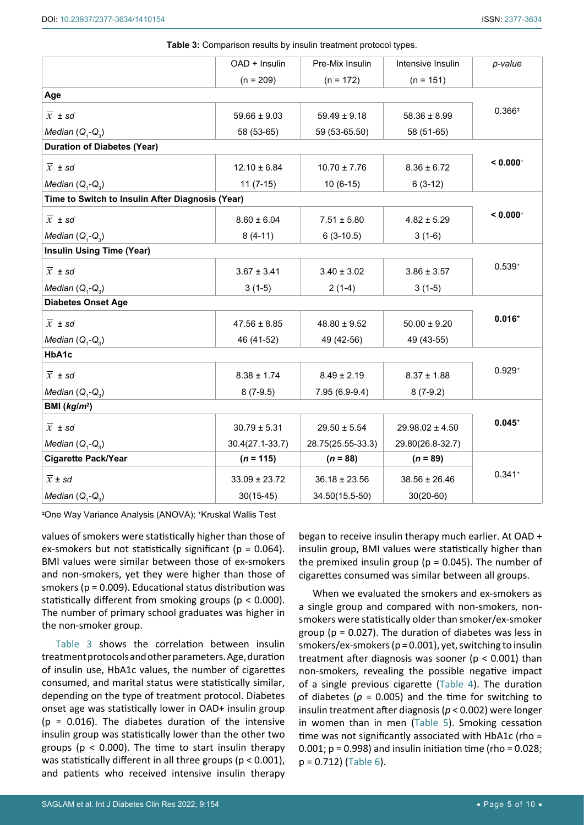|                                                  | OAD + Insulin     | Pre-Mix Insulin   | Intensive Insulin   | p-value                |
|--------------------------------------------------|-------------------|-------------------|---------------------|------------------------|
|                                                  | $(n = 209)$       | $(n = 172)$       | $(n = 151)$         |                        |
| Age                                              |                   |                   |                     |                        |
| $\overline{x}$ ± sd                              | $59.66 \pm 9.03$  | $59.49 \pm 9.18$  | $58.36 \pm 8.99$    | $0.366*$               |
| Median $(Q_1-Q_2)$                               | 58 (53-65)        | 59 (53-65.50)     | 58 (51-65)          |                        |
| <b>Duration of Diabetes (Year)</b>               |                   |                   |                     |                        |
| $\overline{x}$ ± sd                              | $12.10 \pm 6.84$  | $10.70 \pm 7.76$  | $8.36 \pm 6.72$     | $< 0.000$ <sup>+</sup> |
| Median $(Q_1-Q_2)$                               | $11(7-15)$        | $10(6-15)$        | $6(3-12)$           |                        |
| Time to Switch to Insulin After Diagnosis (Year) |                   |                   |                     |                        |
| $\overline{x}$ ± sd                              | $8.60 \pm 6.04$   | $7.51 \pm 5.80$   | $4.82 \pm 5.29$     | $< 0.000$ <sup>+</sup> |
| Median $(Q_1-Q_2)$                               | $8(4-11)$         | $6(3-10.5)$       | $3(1-6)$            |                        |
| <b>Insulin Using Time (Year)</b>                 |                   |                   |                     |                        |
| $\overline{x}$ ± sd                              | $3.67 \pm 3.41$   | $3.40 \pm 3.02$   | $3.86 \pm 3.57$     | $0.539+$               |
| Median $(Q_1-Q_2)$                               | $3(1-5)$          | $2(1-4)$          | $3(1-5)$            |                        |
| <b>Diabetes Onset Age</b>                        |                   |                   |                     |                        |
| $\overline{x}$ ± sd                              | $47.56 \pm 8.85$  | $48.80 \pm 9.52$  | $50.00 \pm 9.20$    | $0.016+$               |
| Median $(Q_1-Q_2)$                               | 46 (41-52)        | 49 (42-56)        | 49 (43-55)          |                        |
| HbA1c                                            |                   |                   |                     |                        |
| $\overline{x}$ ± sd                              | $8.38 \pm 1.74$   | $8.49 \pm 2.19$   | $8.37 \pm 1.88$     | $0.929^{+}$            |
| Median $(Q_1-Q_2)$                               | $8(7-9.5)$        | 7.95 (6.9-9.4)    | $8(7-9.2)$          |                        |
| BMI $(kg/m^2)$                                   |                   |                   |                     |                        |
| $\overline{x}$ ± sd                              | $30.79 \pm 5.31$  | $29.50 \pm 5.54$  | $29.98.02 \pm 4.50$ | $0.045+$               |
| Median $(Q_1-Q_2)$                               | 30.4(27.1-33.7)   | 28.75(25.55-33.3) | 29.80(26.8-32.7)    |                        |
| <b>Cigarette Pack/Year</b>                       | $(n = 115)$       | $(n = 88)$        | $(n = 89)$          |                        |
| $\overline{x}$ ± sd                              | $33.09 \pm 23.72$ | $36.18 \pm 23.56$ | $38.56 \pm 26.46$   | $0.341 +$              |
| Median $(Q, -Q)$                                 | $30(15-45)$       | 34.50(15.5-50)    | $30(20-60)$         |                        |

<span id="page-4-0"></span>**Table 3:** Comparison results by insulin treatment protocol types.

‡ One Way Variance Analysis (ANOVA); +Kruskal Wallis Test

values of smokers were statistically higher than those of ex-smokers but not statistically significant ( $p = 0.064$ ). BMI values were similar between those of ex-smokers and non-smokers, yet they were higher than those of smokers ( $p = 0.009$ ). Educational status distribution was statistically different from smoking groups (p < 0.000). The number of primary school graduates was higher in the non-smoker group.

[Table 3](#page-4-0) shows the correlation between insulin treatment protocols and other parameters. Age, duration of insulin use, HbA1c values, the number of cigarettes consumed, and marital status were statistically similar, depending on the type of treatment protocol. Diabetes onset age was statistically lower in OAD+ insulin group  $(p = 0.016)$ . The diabetes duration of the intensive insulin group was statistically lower than the other two groups ( $p < 0.000$ ). The time to start insulin therapy was statistically different in all three groups ( $p < 0.001$ ), and patients who received intensive insulin therapy

began to receive insulin therapy much earlier. At OAD + insulin group, BMI values were statistically higher than the premixed insulin group ( $p = 0.045$ ). The number of cigarettes consumed was similar between all groups.

When we evaluated the smokers and ex-smokers as a single group and compared with non-smokers, nonsmokers were statistically older than smoker/ex-smoker group ( $p = 0.027$ ). The duration of diabetes was less in smokers/ex-smokers (p = 0.001), yet, switching to insulin treatment after diagnosis was sooner ( $p < 0.001$ ) than non-smokers, revealing the possible negative impact of a single previous cigarette [\(Table 4\)](#page-5-0). The duration of diabetes ( $p = 0.005$ ) and the time for switching to insulin treatment after diagnosis (*p* < 0.002) were longer in women than in men ([Table 5](#page-5-1)). Smoking cessation time was not significantly associated with HbA1c (rho =  $0.001$ ;  $p = 0.998$ ) and insulin initiation time (rho = 0.028;  $p = 0.712$ ) [\(Table 6\)](#page-5-2).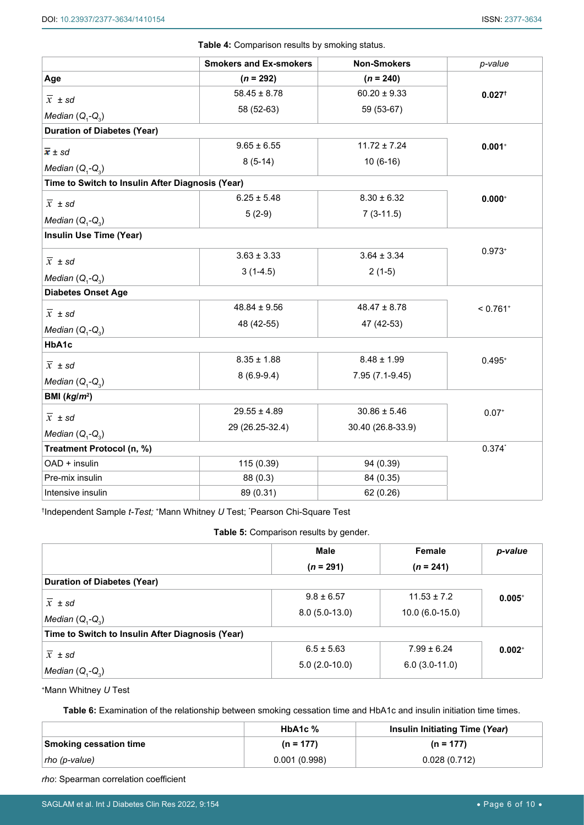<span id="page-5-0"></span>**Table 4:** Comparison results by smoking status.

|                                                                        | <b>Smokers and Ex-smokers</b> | <b>Non-Smokers</b> | p-value                |
|------------------------------------------------------------------------|-------------------------------|--------------------|------------------------|
| Age                                                                    | $(n = 292)$                   | $(n = 240)$        |                        |
| $\overline{x} \pm sd$                                                  | $58.45 \pm 8.78$              | $60.20 \pm 9.33$   | $0.027$ <sup>+</sup>   |
| Median $(Q, -Q)$                                                       | 58 (52-63)                    | 59 (53-67)         |                        |
| <b>Duration of Diabetes (Year)</b>                                     |                               |                    |                        |
|                                                                        | $9.65 \pm 6.55$               | $11.72 \pm 7.24$   | $0.001+$               |
| $\overline{x}$ ± sd                                                    | $8(5-14)$                     | $10(6-16)$         |                        |
| Median $(Q_1-Q_3)$<br>Time to Switch to Insulin After Diagnosis (Year) |                               |                    |                        |
|                                                                        | $6.25 \pm 5.48$               | $8.30 \pm 6.32$    | $0.000^{+}$            |
| $\overline{x}$ ± sd                                                    | $5(2-9)$                      | $7(3-11.5)$        |                        |
| Median $(Q_1-Q_3)$                                                     |                               |                    |                        |
| <b>Insulin Use Time (Year)</b>                                         |                               |                    |                        |
| $\overline{x}$ ± sd                                                    | $3.63 \pm 3.33$               | $3.64 \pm 3.34$    | $0.973+$               |
| Median $(Q, -Q, )$                                                     | $3(1-4.5)$                    | $2(1-5)$           |                        |
| <b>Diabetes Onset Age</b>                                              |                               |                    |                        |
|                                                                        | $48.84 \pm 9.56$              | $48.47 \pm 8.78$   | $< 0.761$ <sup>+</sup> |
| $\overline{x}$ ± sd                                                    | 48 (42-55)                    | 47 (42-53)         |                        |
| Median $(Q_1-Q_3)$<br>HbA1c                                            |                               |                    |                        |
|                                                                        | $8.35 \pm 1.88$               | $8.48 \pm 1.99$    | $0.495+$               |
| $\overline{x}$ ± sd                                                    | $8(6.9-9.4)$                  | 7.95 (7.1-9.45)    |                        |
| Median $(Q, -Q)$                                                       |                               |                    |                        |
| BMI $(kg/m^2)$                                                         |                               |                    |                        |
| $\overline{x}$ ± sd                                                    | $29.55 \pm 4.89$              | $30.86 \pm 5.46$   | $0.07*$                |
| Median $(Q_1-Q_3)$                                                     | 29 (26.25-32.4)               | 30.40 (26.8-33.9)  |                        |
| Treatment Protocol (n, %)                                              |                               |                    | $0.374*$               |
| OAD + insulin                                                          | 115 (0.39)                    | 94 (0.39)          |                        |
| Pre-mix insulin                                                        | 88 (0.3)                      | 84 (0.35)          |                        |
| Intensive insulin                                                      | 89 (0.31)                     | 62 (0.26)          |                        |

† Independent Sample *t-Test;* <sup>+</sup>Mann Whitney *U* Test; \* Pearson Chi-Square Test

<span id="page-5-1"></span>**Table 5:** Comparison results by gender.

|                                                  | <b>Male</b><br>$(n = 291)$ | Female<br>$(n = 241)$ | p-value  |
|--------------------------------------------------|----------------------------|-----------------------|----------|
| <b>Duration of Diabetes (Year)</b>               |                            |                       |          |
| $\overline{x}$ ± sd                              | $9.8 \pm 6.57$             | $11.53 \pm 7.2$       | $0.005+$ |
| Median $(Q, -Q)$                                 | $8.0(5.0-13.0)$            | $10.0(6.0-15.0)$      |          |
| Time to Switch to Insulin After Diagnosis (Year) |                            |                       |          |
| $\overline{x} \pm sd$                            | $6.5 \pm 5.63$             | $7.99 \pm 6.24$       | $0.002+$ |
| Median $(Q, -Q)$                                 | $5.0(2.0-10.0)$            | $6.0(3.0-11.0)$       |          |

<sup>+</sup>Mann Whitney *U* Test

<span id="page-5-2"></span>**Table 6:** Examination of the relationship between smoking cessation time and HbA1c and insulin initiation time times.

|                               | HbA <sub>1</sub> c $%$ | Insulin Initiating Time (Year) |
|-------------------------------|------------------------|--------------------------------|
| <b>Smoking cessation time</b> | $(n = 177)$            | $(n = 177)$                    |
| tho (p-value)                 | 0.001(0.998)           | 0.028(0.712)                   |

*rho*: Spearman correlation coefficient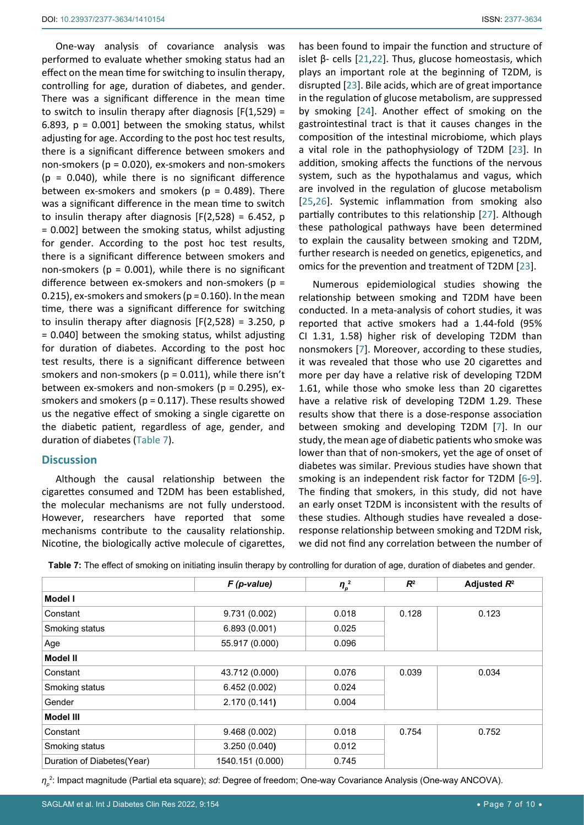One-way analysis of covariance analysis was performed to evaluate whether smoking status had an effect on the mean time for switching to insulin therapy, controlling for age, duration of diabetes, and gender. There was a significant difference in the mean time to switch to insulin therapy after diagnosis  $[F(1,529) =$ 6.893,  $p = 0.001$ ] between the smoking status, whilst adjusting for age. According to the post hoc test results, there is a significant difference between smokers and non-smokers (p = 0.020), ex-smokers and non-smokers  $(p = 0.040)$ , while there is no significant difference between ex-smokers and smokers ( $p = 0.489$ ). There was a significant difference in the mean time to switch to insulin therapy after diagnosis  $[F(2,528) = 6.452, p]$ = 0.002] between the smoking status, whilst adjusting for gender. According to the post hoc test results, there is a significant difference between smokers and non-smokers ( $p = 0.001$ ), while there is no significant difference between ex-smokers and non-smokers ( $p =$ 0.215), ex-smokers and smokers ( $p = 0.160$ ). In the mean time, there was a significant difference for switching to insulin therapy after diagnosis  $[F(2,528) = 3.250, p$ = 0.040] between the smoking status, whilst adjusting for duration of diabetes. According to the post hoc test results, there is a significant difference between smokers and non-smokers ( $p = 0.011$ ), while there isn't between ex-smokers and non-smokers (p = 0.295), exsmokers and smokers ( $p = 0.117$ ). These results showed us the negative effect of smoking a single cigarette on the diabetic patient, regardless of age, gender, and duration of diabetes [\(Table 7\)](#page-6-0).

## **Discussion**

Although the causal relationship between the cigarettes consumed and T2DM has been established, the molecular mechanisms are not fully understood. However, researchers have reported that some mechanisms contribute to the causality relationship. Nicotine, the biologically active molecule of cigarettes, has been found to impair the function and structure of islet β- cells [\[21](#page-8-13)[,22](#page-8-14)]. Thus, glucose homeostasis, which plays an important role at the beginning of T2DM, is disrupted [\[23](#page-8-15)]. Bile acids, which are of great importance in the regulation of glucose metabolism, are suppressed by smoking [\[24](#page-8-16)]. Another effect of smoking on the gastrointestinal tract is that it causes changes in the composition of the intestinal microbiome, which plays a vital role in the pathophysiology of T2DM [\[23](#page-8-15)]. In addition, smoking affects the functions of the nervous system, such as the hypothalamus and vagus, which are involved in the regulation of glucose metabolism [\[25](#page-8-17),[26](#page-8-18)]. Systemic inflammation from smoking also partially contributes to this relationship [\[27](#page-8-19)]. Although these pathological pathways have been determined to explain the causality between smoking and T2DM, further research is needed on genetics, epigenetics, and omics for the prevention and treatment of T2DM [[23\]](#page-8-15).

Numerous epidemiological studies showing the relationship between smoking and T2DM have been conducted. In a meta-analysis of cohort studies, it was reported that active smokers had a 1.44-fold (95% CI 1.31, 1.58) higher risk of developing T2DM than nonsmokers [\[7\]](#page-8-20). Moreover, according to these studies, it was revealed that those who use 20 cigarettes and more per day have a relative risk of developing T2DM 1.61, while those who smoke less than 20 cigarettes have a relative risk of developing T2DM 1.29. These results show that there is a dose-response association between smoking and developing T2DM [[7\]](#page-8-20). In our study, the mean age of diabetic patients who smoke was lower than that of non-smokers, yet the age of onset of diabetes was similar. Previous studies have shown that smoking is an independent risk factor for T2DM [\[6-](#page-7-5)[9\]](#page-8-1). The finding that smokers, in this study, did not have an early onset T2DM is inconsistent with the results of these studies. Although studies have revealed a doseresponse relationship between smoking and T2DM risk, we did not find any correlation between the number of

<span id="page-6-0"></span>

| Table 7: The effect of smoking on initiating insulin therapy by controlling for duration of age, duration of diabetes and gender. |  |  |  |
|-----------------------------------------------------------------------------------------------------------------------------------|--|--|--|
|-----------------------------------------------------------------------------------------------------------------------------------|--|--|--|

|                            | $F$ (p-value)    | $\eta_p^2$ | $R^2$ | Adjusted $R^2$ |
|----------------------------|------------------|------------|-------|----------------|
| <b>Model I</b>             |                  |            |       |                |
| Constant                   | 9.731(0.002)     | 0.018      | 0.128 | 0.123          |
| Smoking status             | 6.893(0.001)     | 0.025      |       |                |
| Age                        | 55.917 (0.000)   | 0.096      |       |                |
| <b>Model II</b>            |                  |            |       |                |
| Constant                   | 43.712 (0.000)   | 0.076      | 0.039 | 0.034          |
| Smoking status             | 6.452(0.002)     | 0.024      |       |                |
| Gender                     | 2.170 (0.141)    | 0.004      |       |                |
| <b>Model III</b>           |                  |            |       |                |
| Constant                   | 9.468(0.002)     | 0.018      | 0.754 | 0.752          |
| Smoking status             | 3.250(0.040)     | 0.012      |       |                |
| Duration of Diabetes(Year) | 1540.151 (0.000) | 0.745      |       |                |

*ηp* 2 : Impact magnitude (Partial eta square); *sd*: Degree of freedom; One-way Covariance Analysis (One-way ANCOVA).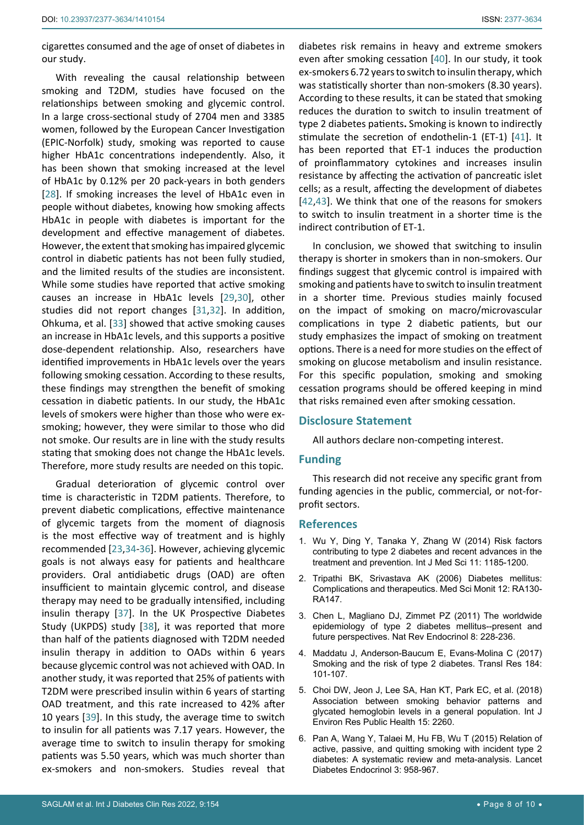cigarettes consumed and the age of onset of diabetes in our study.

With revealing the causal relationship between smoking and T2DM, studies have focused on the relationships between smoking and glycemic control. In a large cross-sectional study of 2704 men and 3385 women, followed by the European Cancer Investigation (EPIC-Norfolk) study, smoking was reported to cause higher HbA1c concentrations independently. Also, it has been shown that smoking increased at the level of HbA1c by 0.12% per 20 pack-years in both genders [[28](#page-8-21)]. If smoking increases the level of HbA1c even in people without diabetes, knowing how smoking affects HbA1c in people with diabetes is important for the development and effective management of diabetes. However, the extent that smoking has impaired glycemic control in diabetic patients has not been fully studied, and the limited results of the studies are inconsistent. While some studies have reported that active smoking causes an increase in HbA1c levels [[29](#page-8-22),[30](#page-8-23)], other studies did not report changes [[31](#page-8-24),[32\]](#page-8-25). In addition, Ohkuma, et al. [[33\]](#page-8-26) showed that active smoking causes an increase in HbA1c levels, and this supports a positive dose-dependent relationship. Also, researchers have identified improvements in HbA1c levels over the years following smoking cessation. According to these results, these findings may strengthen the benefit of smoking cessation in diabetic patients. In our study, the HbA1c levels of smokers were higher than those who were exsmoking; however, they were similar to those who did not smoke. Our results are in line with the study results stating that smoking does not change the HbA1c levels. Therefore, more study results are needed on this topic.

Gradual deterioration of glycemic control over time is characteristic in T2DM patients. Therefore, to prevent diabetic complications, effective maintenance of glycemic targets from the moment of diagnosis is the most effective way of treatment and is highly recommended [[23](#page-8-15),[34](#page-8-27)[-36](#page-8-28)]. However, achieving glycemic goals is not always easy for patients and healthcare providers. Oral antidiabetic drugs (OAD) are often insufficient to maintain glycemic control, and disease therapy may need to be gradually intensified, including insulin therapy [\[37](#page-8-29)]. In the UK Prospective Diabetes Study (UKPDS) study [[38\]](#page-8-30), it was reported that more than half of the patients diagnosed with T2DM needed insulin therapy in addition to OADs within 6 years because glycemic control was not achieved with OAD. In another study, it was reported that 25% of patients with T2DM were prescribed insulin within 6 years of starting OAD treatment, and this rate increased to 42% after 10 years [\[39](#page-9-4)]. In this study, the average time to switch to insulin for all patients was 7.17 years. However, the average time to switch to insulin therapy for smoking patients was 5.50 years, which was much shorter than ex-smokers and non-smokers. Studies reveal that

diabetes risk remains in heavy and extreme smokers even after smoking cessation [\[40\]](#page-9-0). In our study, it took ex-smokers 6.72 years to switch to insulin therapy, which was statistically shorter than non-smokers (8.30 years). According to these results, it can be stated that smoking reduces the duration to switch to insulin treatment of type 2 diabetes patients**.** Smoking is known to indirectly stimulate the secretion of endothelin-1 (ET-1) [[41\]](#page-9-1). It has been reported that ET-1 induces the production of proinflammatory cytokines and increases insulin resistance by affecting the activation of pancreatic islet cells; as a result, affecting the development of diabetes [\[42](#page-9-2),[43](#page-9-3)]. We think that one of the reasons for smokers to switch to insulin treatment in a shorter time is the indirect contribution of ET-1.

In conclusion, we showed that switching to insulin therapy is shorter in smokers than in non-smokers. Our findings suggest that glycemic control is impaired with smoking and patients have to switch to insulin treatment in a shorter time. Previous studies mainly focused on the impact of smoking on macro/microvascular complications in type 2 diabetic patients, but our study emphasizes the impact of smoking on treatment options. There is a need for more studies on the effect of smoking on glucose metabolism and insulin resistance. For this specific population, smoking and smoking cessation programs should be offered keeping in mind that risks remained even after smoking cessation.

### **Disclosure Statement**

All authors declare non-competing interest.

### **Funding**

This research did not receive any specific grant from funding agencies in the public, commercial, or not-forprofit sectors.

#### **References**

- <span id="page-7-0"></span>1. [Wu Y, Ding Y, Tanaka Y, Zhang W \(2014\) Risk factors](https://pubmed.ncbi.nlm.nih.gov/25249787/)  [contributing to type 2 diabetes and recent advances in the](https://pubmed.ncbi.nlm.nih.gov/25249787/)  [treatment and prevention. Int J Med Sci 11: 1185-1200.](https://pubmed.ncbi.nlm.nih.gov/25249787/)
- <span id="page-7-1"></span>2. [Tripathi BK, Srivastava AK \(2006\) Diabetes mellitus:](https://pubmed.ncbi.nlm.nih.gov/16810145/)  [Complications and therapeutics. Med Sci Monit 12: RA130-](https://pubmed.ncbi.nlm.nih.gov/16810145/) [RA147.](https://pubmed.ncbi.nlm.nih.gov/16810145/)
- <span id="page-7-2"></span>3. [Chen L, Magliano DJ, Zimmet PZ \(2011\) The worldwide](https://pubmed.ncbi.nlm.nih.gov/22064493/)  [epidemiology of type 2 diabetes mellitus--present and](https://pubmed.ncbi.nlm.nih.gov/22064493/)  [future perspectives. Nat Rev Endocrinol 8: 228-236.](https://pubmed.ncbi.nlm.nih.gov/22064493/)
- <span id="page-7-3"></span>4. [Maddatu J, Anderson-Baucum E, Evans-Molina C \(2017\)](https://pubmed.ncbi.nlm.nih.gov/28336465/)  [Smoking and the risk of type 2 diabetes. Transl Res 184:](https://pubmed.ncbi.nlm.nih.gov/28336465/)  [101-107.](https://pubmed.ncbi.nlm.nih.gov/28336465/)
- <span id="page-7-4"></span>5. [Choi DW, Jeon J, Lee SA, Han KT, Park EC, et al. \(2018\)](https://pubmed.ncbi.nlm.nih.gov/30332732/)  [Association between smoking behavior patterns and](https://pubmed.ncbi.nlm.nih.gov/30332732/)  [glycated hemoglobin levels in a general population. Int J](https://pubmed.ncbi.nlm.nih.gov/30332732/)  [Environ Res Public Health 15: 2260.](https://pubmed.ncbi.nlm.nih.gov/30332732/)
- <span id="page-7-5"></span>6. [Pan A, Wang Y, Talaei M, Hu FB, Wu T \(2015\) Relation of](https://pubmed.ncbi.nlm.nih.gov/26388413/)  [active, passive, and quitting smoking with incident type 2](https://pubmed.ncbi.nlm.nih.gov/26388413/)  [diabetes: A systematic review and meta-analysis. Lancet](https://pubmed.ncbi.nlm.nih.gov/26388413/)  [Diabetes Endocrinol 3: 958-967.](https://pubmed.ncbi.nlm.nih.gov/26388413/)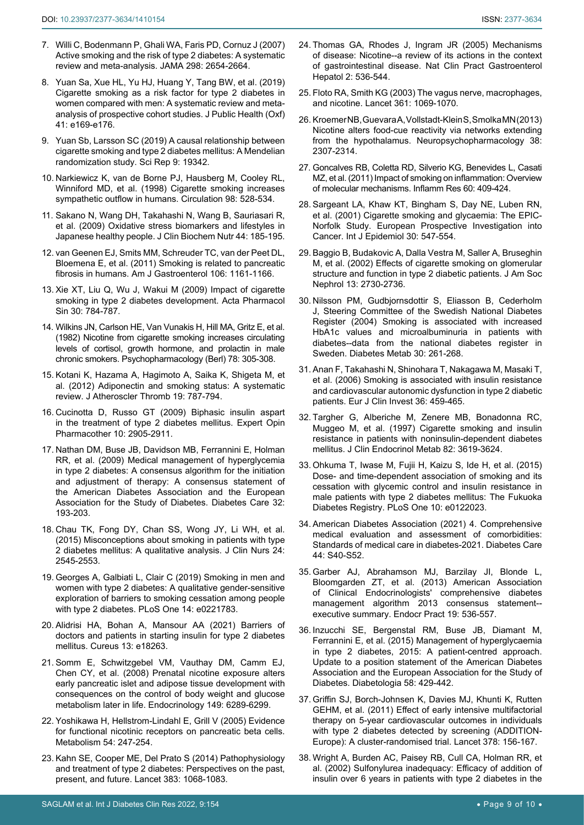- <span id="page-8-20"></span>7. [Willi C, Bodenmann P, Ghali WA, Faris PD, Cornuz J \(2007\)](https://pubmed.ncbi.nlm.nih.gov/18073361/)  [Active smoking and the risk of type 2 diabetes: A systematic](https://pubmed.ncbi.nlm.nih.gov/18073361/)  [review and meta-analysis. JAMA 298: 2654-2664.](https://pubmed.ncbi.nlm.nih.gov/18073361/)
- <span id="page-8-0"></span>8. [Yuan Sa, Xue HL, Yu HJ, Huang Y, Tang BW, et al. \(2019\)](https://pubmed.ncbi.nlm.nih.gov/29901755/)  [Cigarette smoking as a risk factor for type 2 diabetes in](https://pubmed.ncbi.nlm.nih.gov/29901755/)  [women compared with men: A systematic review and meta](https://pubmed.ncbi.nlm.nih.gov/29901755/)[analysis of prospective cohort studies. J Public Health \(Oxf\)](https://pubmed.ncbi.nlm.nih.gov/29901755/)  [41: e169-e176.](https://pubmed.ncbi.nlm.nih.gov/29901755/)
- <span id="page-8-1"></span>9. [Yuan Sb, Larsson SC \(2019\) A causal relationship between](https://www.nature.com/articles/s41598-019-56014-9)  [cigarette smoking and type 2 diabetes mellitus: A Mendelian](https://www.nature.com/articles/s41598-019-56014-9)  [randomization study. Sci Rep 9: 19342.](https://www.nature.com/articles/s41598-019-56014-9)
- <span id="page-8-2"></span>10. [Narkiewicz K, van de Borne PJ, Hausberg M, Cooley RL,](https://pubmed.ncbi.nlm.nih.gov/9714109/)  [Winniford MD, et al. \(1998\) Cigarette smoking increases](https://pubmed.ncbi.nlm.nih.gov/9714109/)  [sympathetic outflow in humans. Circulation 98: 528-534.](https://pubmed.ncbi.nlm.nih.gov/9714109/)
- <span id="page-8-3"></span>11. [Sakano N, Wang DH, Takahashi N, Wang B, Sauriasari R,](https://pubmed.ncbi.nlm.nih.gov/19308273/)  [et al. \(2009\) Oxidative stress biomarkers and lifestyles in](https://pubmed.ncbi.nlm.nih.gov/19308273/)  [Japanese healthy people. J Clin Biochem Nutr 44: 185-195.](https://pubmed.ncbi.nlm.nih.gov/19308273/)
- <span id="page-8-4"></span>12. [van Geenen EJ, Smits MM, Schreuder TC, van der Peet DL,](https://pubmed.ncbi.nlm.nih.gov/21577244/)  [Bloemena E, et al. \(2011\) Smoking is related to pancreatic](https://pubmed.ncbi.nlm.nih.gov/21577244/)  [fibrosis in humans. Am J Gastroenterol 106: 1161-1166.](https://pubmed.ncbi.nlm.nih.gov/21577244/)
- <span id="page-8-5"></span>13. [Xie XT, Liu Q, Wu J, Wakui M \(2009\) Impact of cigarette](https://pubmed.ncbi.nlm.nih.gov/19434055/)  [smoking in type 2 diabetes development. Acta Pharmacol](https://pubmed.ncbi.nlm.nih.gov/19434055/)  [Sin 30: 784-787.](https://pubmed.ncbi.nlm.nih.gov/19434055/)
- <span id="page-8-6"></span>14. [Wilkins JN, Carlson HE, Van Vunakis H, Hill MA, Gritz E, et al.](https://pubmed.ncbi.nlm.nih.gov/6818588/)  [\(1982\) Nicotine from cigarette smoking increases circulating](https://pubmed.ncbi.nlm.nih.gov/6818588/)  [levels of cortisol, growth hormone, and prolactin in male](https://pubmed.ncbi.nlm.nih.gov/6818588/)  [chronic smokers. Psychopharmacology \(Berl\) 78: 305-308.](https://pubmed.ncbi.nlm.nih.gov/6818588/)
- <span id="page-8-7"></span>15. [Kotani K, Hazama A, Hagimoto A, Saika K, Shigeta M, et](https://pubmed.ncbi.nlm.nih.gov/22653164/)  [al. \(2012\) Adiponectin and smoking status: A systematic](https://pubmed.ncbi.nlm.nih.gov/22653164/)  [review. J Atheroscler Thromb 19: 787-794.](https://pubmed.ncbi.nlm.nih.gov/22653164/)
- <span id="page-8-8"></span>16. Cucinotta D, Russo GT (2009) Biphasic insulin aspart in the treatment of type 2 diabetes mellitus. Expert Opin Pharmacother 10: 2905-2911.
- <span id="page-8-9"></span>17. [Nathan DM, Buse JB, Davidson MB, Ferrannini E, Holman](https://pubmed.ncbi.nlm.nih.gov/18945920/)  [RR, et al. \(2009\) Medical management of hyperglycemia](https://pubmed.ncbi.nlm.nih.gov/18945920/)  [in type 2 diabetes: A consensus algorithm for the initiation](https://pubmed.ncbi.nlm.nih.gov/18945920/)  [and adjustment of therapy: A consensus statement of](https://pubmed.ncbi.nlm.nih.gov/18945920/)  [the American Diabetes Association and the European](https://pubmed.ncbi.nlm.nih.gov/18945920/)  [Association for the Study of Diabetes. Diabetes Care 32:](https://pubmed.ncbi.nlm.nih.gov/18945920/)  [193-203.](https://pubmed.ncbi.nlm.nih.gov/18945920/)
- <span id="page-8-10"></span>18. [Chau TK, Fong DY, Chan SS, Wong JY, Li WH, et al.](https://pubmed.ncbi.nlm.nih.gov/25950711/)  [\(2015\) Misconceptions about smoking in patients with type](https://pubmed.ncbi.nlm.nih.gov/25950711/)  [2 diabetes mellitus: A qualitative analysis. J Clin Nurs 24:](https://pubmed.ncbi.nlm.nih.gov/25950711/)  [2545-2553.](https://pubmed.ncbi.nlm.nih.gov/25950711/)
- <span id="page-8-11"></span>19. [Georges A, Galbiati L, Clair C \(2019\) Smoking in men and](https://pubmed.ncbi.nlm.nih.gov/31461485/)  [women with type 2 diabetes: A qualitative gender-sensitive](https://pubmed.ncbi.nlm.nih.gov/31461485/)  [exploration of barriers to smoking cessation among people](https://pubmed.ncbi.nlm.nih.gov/31461485/)  [with type 2 diabetes. PLoS One 14: e0221783.](https://pubmed.ncbi.nlm.nih.gov/31461485/)
- <span id="page-8-12"></span>20. [Alidrisi HA, Bohan A, Mansour AA \(2021\) Barriers of](https://www.cureus.com/articles/70456-barriers-of-doctors-and-patients-in-starting-insulin-for-type-2-diabetes-mellitus)  [doctors and patients in starting insulin for type 2 diabetes](https://www.cureus.com/articles/70456-barriers-of-doctors-and-patients-in-starting-insulin-for-type-2-diabetes-mellitus)  mellitus. [Cureus 13: e18263.](https://www.cureus.com/articles/70456-barriers-of-doctors-and-patients-in-starting-insulin-for-type-2-diabetes-mellitus)
- <span id="page-8-13"></span>21. [Somm E, Schwitzgebel VM, Vauthay DM, Camm EJ,](https://pubmed.ncbi.nlm.nih.gov/18687784/)  [Chen CY, et al. \(2008\) Prenatal nicotine exposure alters](https://pubmed.ncbi.nlm.nih.gov/18687784/)  [early pancreatic islet and adipose tissue development with](https://pubmed.ncbi.nlm.nih.gov/18687784/)  [consequences on the control of body weight and glucose](https://pubmed.ncbi.nlm.nih.gov/18687784/)  [metabolism later in life. Endocrinology 149: 6289-6299.](https://pubmed.ncbi.nlm.nih.gov/18687784/)
- <span id="page-8-14"></span>22. [Yoshikawa H, Hellstrom-Lindahl E, Grill V \(2005\) Evidence](https://pubmed.ncbi.nlm.nih.gov/15690320/)  [for functional nicotinic receptors on pancreatic beta cells.](https://pubmed.ncbi.nlm.nih.gov/15690320/)  [Metabolism 54: 247-254.](https://pubmed.ncbi.nlm.nih.gov/15690320/)
- <span id="page-8-15"></span>23. [Kahn SE, Cooper ME, Del Prato S \(2014\) Pathophysiology](https://pubmed.ncbi.nlm.nih.gov/24315620/)  [and treatment of type 2 diabetes: Perspectives on the past,](https://pubmed.ncbi.nlm.nih.gov/24315620/)  [present, and future. Lancet 383: 1068-1083.](https://pubmed.ncbi.nlm.nih.gov/24315620/)
- <span id="page-8-16"></span>24. [Thomas GA, Rhodes J, Ingram JR \(2005\) Mechanisms](https://pubmed.ncbi.nlm.nih.gov/16355159/)  [of disease: Nicotine--a review of its actions in the context](https://pubmed.ncbi.nlm.nih.gov/16355159/)  [of gastrointestinal disease. Nat Clin Pract Gastroenterol](https://pubmed.ncbi.nlm.nih.gov/16355159/)  [Hepatol 2: 536-544.](https://pubmed.ncbi.nlm.nih.gov/16355159/)
- <span id="page-8-17"></span>25. [Floto RA, Smith KG \(2003\) The vagus nerve, macrophages,](https://pubmed.ncbi.nlm.nih.gov/12672307/)  [and nicotine. Lancet 361: 1069-1070.](https://pubmed.ncbi.nlm.nih.gov/12672307/)
- <span id="page-8-18"></span>26. [Kroemer NB, Guevara A, Vollstadt-Klein S, Smolka MN \(2013\)](https://pubmed.ncbi.nlm.nih.gov/23778853/)  [Nicotine alters food-cue reactivity via networks extending](https://pubmed.ncbi.nlm.nih.gov/23778853/)  [from the hypothalamus. Neuropsychopharmacology 38:](https://pubmed.ncbi.nlm.nih.gov/23778853/)  [2307-2314.](https://pubmed.ncbi.nlm.nih.gov/23778853/)
- <span id="page-8-19"></span>27. [Goncalves RB, Coletta RD, Silverio KG, Benevides L, Casati](https://pubmed.ncbi.nlm.nih.gov/21298317/)  [MZ, et al. \(2011\) Impact of smoking on inflammation: Overview](https://pubmed.ncbi.nlm.nih.gov/21298317/)  [of molecular mechanisms. Inflamm Res 60: 409-424.](https://pubmed.ncbi.nlm.nih.gov/21298317/)
- <span id="page-8-21"></span>28. [Sargeant LA, Khaw KT, Bingham S, Day NE, Luben RN,](https://pubmed.ncbi.nlm.nih.gov/11416081/)  [et al. \(2001\) Cigarette smoking and glycaemia: The EPIC-](https://pubmed.ncbi.nlm.nih.gov/11416081/)[Norfolk Study. European Prospective Investigation into](https://pubmed.ncbi.nlm.nih.gov/11416081/)  [Cancer. Int J Epidemiol 30: 547-554.](https://pubmed.ncbi.nlm.nih.gov/11416081/)
- <span id="page-8-22"></span>29. [Baggio B, Budakovic A, Dalla Vestra M, Saller A, Bruseghin](https://pubmed.ncbi.nlm.nih.gov/12397043/)  [M, et al. \(2002\) Effects of cigarette smoking on glomerular](https://pubmed.ncbi.nlm.nih.gov/12397043/)  [structure and function in type 2 diabetic patients. J Am Soc](https://pubmed.ncbi.nlm.nih.gov/12397043/)  [Nephrol 13: 2730-2736.](https://pubmed.ncbi.nlm.nih.gov/12397043/)
- <span id="page-8-23"></span>30. [Nilsson PM, Gudbjornsdottir S, Eliasson B, Cederholm](https://pubmed.ncbi.nlm.nih.gov/15223978/)  [J, Steering Committee of the Swedish National Diabetes](https://pubmed.ncbi.nlm.nih.gov/15223978/)  [Register \(2004\) Smoking is associated with increased](https://pubmed.ncbi.nlm.nih.gov/15223978/)  [HbA1c values and microalbuminuria in patients with](https://pubmed.ncbi.nlm.nih.gov/15223978/)  [diabetes--data from the national diabetes register in](https://pubmed.ncbi.nlm.nih.gov/15223978/)  [Sweden. Diabetes Metab 30: 261-268.](https://pubmed.ncbi.nlm.nih.gov/15223978/)
- <span id="page-8-24"></span>31. [Anan F, Takahashi N, Shinohara T, Nakagawa M, Masaki T,](https://pubmed.ncbi.nlm.nih.gov/16796602/)  [et al. \(2006\) Smoking is associated with insulin resistance](https://pubmed.ncbi.nlm.nih.gov/16796602/)  [and cardiovascular autonomic dysfunction in type 2 diabetic](https://pubmed.ncbi.nlm.nih.gov/16796602/)  [patients. Eur J Clin Invest 36: 459-465.](https://pubmed.ncbi.nlm.nih.gov/16796602/)
- <span id="page-8-25"></span>32. [Targher G, Alberiche M, Zenere MB, Bonadonna RC,](https://pubmed.ncbi.nlm.nih.gov/9360516/)  [Muggeo M, et al. \(1997\) Cigarette smoking and insulin](https://pubmed.ncbi.nlm.nih.gov/9360516/)  [resistance in patients with noninsulin-dependent diabetes](https://pubmed.ncbi.nlm.nih.gov/9360516/)  [mellitus. J Clin Endocrinol Metab 82: 3619-3624.](https://pubmed.ncbi.nlm.nih.gov/9360516/)
- <span id="page-8-26"></span>33. [Ohkuma T, Iwase M, Fujii H, Kaizu S, Ide H, et al. \(2015\)](https://pubmed.ncbi.nlm.nih.gov/25822499/)  [Dose- and time-dependent association of smoking and its](https://pubmed.ncbi.nlm.nih.gov/25822499/)  [cessation with glycemic control and insulin resistance in](https://pubmed.ncbi.nlm.nih.gov/25822499/)  [male patients with type 2 diabetes mellitus: The Fukuoka](https://pubmed.ncbi.nlm.nih.gov/25822499/)  [Diabetes Registry. PLoS One 10: e0122023.](https://pubmed.ncbi.nlm.nih.gov/25822499/)
- <span id="page-8-27"></span>34. [American Diabetes Association \(2021\) 4. Comprehensive](https://pubmed.ncbi.nlm.nih.gov/33298415/)  [medical evaluation and assessment of comorbidities:](https://pubmed.ncbi.nlm.nih.gov/33298415/)  [Standards of medical care in diabetes-2021. Diabetes Care](https://pubmed.ncbi.nlm.nih.gov/33298415/)  [44: S40-S52.](https://pubmed.ncbi.nlm.nih.gov/33298415/)
- 35. [Garber AJ, Abrahamson MJ, Barzilay JI, Blonde L,](https://pubmed.ncbi.nlm.nih.gov/23816937/)  [Bloomgarden ZT, et al. \(2013\) American Association](https://pubmed.ncbi.nlm.nih.gov/23816937/)  [of Clinical Endocrinologists' comprehensive diabetes](https://pubmed.ncbi.nlm.nih.gov/23816937/)  [management algorithm 2013 consensus statement-](https://pubmed.ncbi.nlm.nih.gov/23816937/) [executive summary. Endocr Pract 19: 536-557.](https://pubmed.ncbi.nlm.nih.gov/23816937/)
- <span id="page-8-28"></span>36. [Inzucchi SE, Bergenstal RM, Buse JB, Diamant M,](https://pubmed.ncbi.nlm.nih.gov/25583541/)  [Ferrannini E, et al. \(2015\) Management of hyperglycaemia](https://pubmed.ncbi.nlm.nih.gov/25583541/)  [in type 2 diabetes, 2015: A patient-centred approach.](https://pubmed.ncbi.nlm.nih.gov/25583541/)  [Update to a position statement of the American Diabetes](https://pubmed.ncbi.nlm.nih.gov/25583541/)  [Association and the European Association for the Study of](https://pubmed.ncbi.nlm.nih.gov/25583541/)  [Diabetes. Diabetologia 58: 429-442.](https://pubmed.ncbi.nlm.nih.gov/25583541/)
- <span id="page-8-29"></span>37. [Griffin SJ, Borch-Johnsen K, Davies MJ, Khunti K, Rutten](https://pubmed.ncbi.nlm.nih.gov/21705063/)  [GEHM, et al. \(2011\) Effect of early intensive multifactorial](https://pubmed.ncbi.nlm.nih.gov/21705063/)  [therapy on 5-year cardiovascular outcomes in individuals](https://pubmed.ncbi.nlm.nih.gov/21705063/)  [with type 2 diabetes detected by screening \(ADDITION-](https://pubmed.ncbi.nlm.nih.gov/21705063/)[Europe\): A cluster-randomised trial. Lancet 378: 156-167.](https://pubmed.ncbi.nlm.nih.gov/21705063/)
- <span id="page-8-30"></span>38. [Wright A, Burden AC, Paisey RB, Cull CA, Holman RR, et](https://pubmed.ncbi.nlm.nih.gov/11815505/)  [al. \(2002\) Sulfonylurea inadequacy: Efficacy of addition of](https://pubmed.ncbi.nlm.nih.gov/11815505/)  [insulin over 6 years in patients with type 2 diabetes in the](https://pubmed.ncbi.nlm.nih.gov/11815505/)